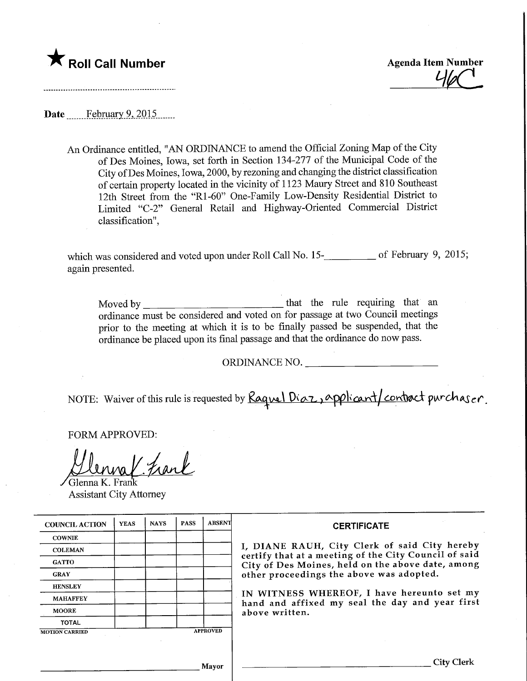

Roll Call Number<br>
Agenda Item Number<br>
Agenda Item Number<br>
Agenda Item Number<br>
Agenda Item Number

Date February 9, 2015

An Ordinance entitled, "AN ORDINANCE to amend the Official Zoning Map of the City of Des Moines, Iowa, set forth in Section 134-277 of the Municipal Code of the City ofDes Moines, Iowa, 2000, by rezoning and changing the district classification of certain property located in the vicinity of 1123 Maury Street and 810 Southeast 12th Street from the "Rl-60" One-Family Low-Density Residential District to Limited "C-2" General Retail and Highway-Oriented Commercial District classification",

which was considered and voted upon under Roll Call No. 15-<br> again presented.

Moved by that the rule requiring that an ordinance must be considered and voted on for passage at two Council meetings prior to the meeting at which it is to be finally passed be suspended, that the ordinance be placed upon its final passage and that the ordinance do now pass.

ORDINANCE NO.

NOTE: Waiver of this rule is requested by Raguel Diaz, applicant/contract purchaser.

FORM APPROVED:

Frank Glenna K. Frank

Assistant City Attorney

| <b>COUNCIL ACTION</b> | <b>YEAS</b> | <b>NAYS</b> | <b>PASS</b> | <b>ABSENT</b>   | <b>CERTIFICATE</b>                                                                                                                                                                                                                                                                                                         |
|-----------------------|-------------|-------------|-------------|-----------------|----------------------------------------------------------------------------------------------------------------------------------------------------------------------------------------------------------------------------------------------------------------------------------------------------------------------------|
| <b>COWNIE</b>         |             |             |             |                 | I, DIANE RAUH, City Clerk of said City hereby<br>certify that at a meeting of the City Council of said<br>City of Des Moines, held on the above date, among<br>other proceedings the above was adopted.<br>IN WITNESS WHEREOF, I have hereunto set my<br>hand and affixed my seal the day and year first<br>above written. |
| <b>COLEMAN</b>        |             |             |             |                 |                                                                                                                                                                                                                                                                                                                            |
| <b>GATTO</b>          |             |             |             |                 |                                                                                                                                                                                                                                                                                                                            |
| <b>GRAY</b>           |             |             |             |                 |                                                                                                                                                                                                                                                                                                                            |
| <b>HENSLEY</b>        |             |             |             |                 |                                                                                                                                                                                                                                                                                                                            |
| <b>MAHAFFEY</b>       |             |             |             |                 |                                                                                                                                                                                                                                                                                                                            |
| <b>MOORE</b>          |             |             |             |                 |                                                                                                                                                                                                                                                                                                                            |
| <b>TOTAL</b>          |             |             |             |                 |                                                                                                                                                                                                                                                                                                                            |
| <b>MOTION CARRIED</b> |             |             |             | <b>APPROVED</b> |                                                                                                                                                                                                                                                                                                                            |
|                       |             |             |             |                 |                                                                                                                                                                                                                                                                                                                            |
|                       |             |             |             | Mayor           | <b>City Clerk</b>                                                                                                                                                                                                                                                                                                          |